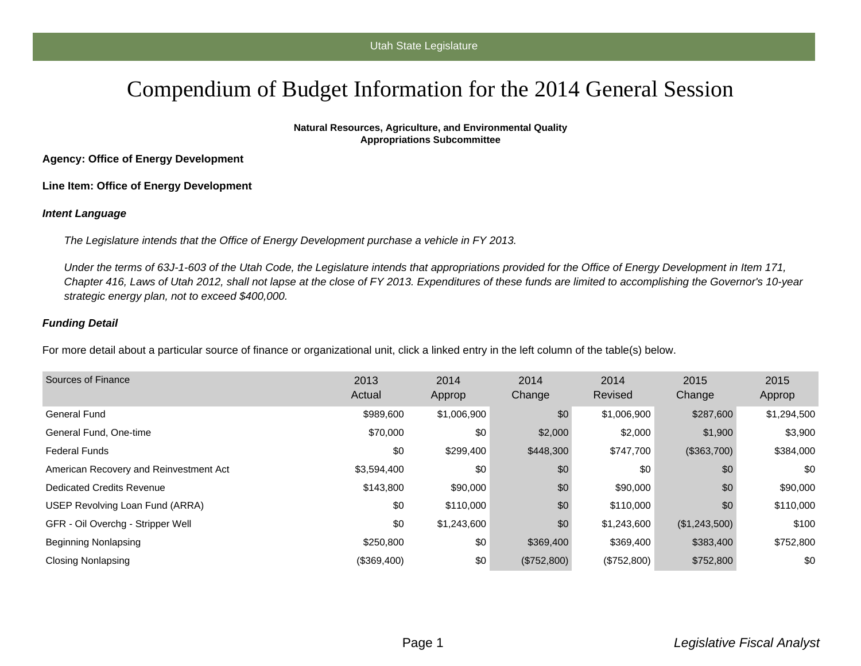## Compendium of Budget Information for the 2014 General Session

**Natural Resources, Agriculture, and Environmental Quality Appropriations Subcommittee**

**Agency: Office of Energy Development**

**Line Item: Office of Energy Development**

## **Intent Language**

The Legislature intends that the Office of Energy Development purchase a vehicle in FY 2013.

Under the terms of 63J-1-603 of the Utah Code, the Legislature intends that appropriations provided for the Office of Energy Development in Item 171, Chapter 416, Laws of Utah 2012, shall not lapse at the close of FY 2013. Expenditures of these funds are limited to accomplishing the Governor's 10-year strategic energy plan, not to exceed \$400,000.

## **Funding Detail**

For more detail about a particular source of finance or organizational unit, click a linked entry in the left column of the table(s) below.

| Sources of Finance                     | 2013<br>Actual | 2014<br>Approp | 2014<br>Change | 2014<br>Revised | 2015<br>Change | 2015<br>Approp |
|----------------------------------------|----------------|----------------|----------------|-----------------|----------------|----------------|
| General Fund                           | \$989,600      | \$1,006,900    | \$0            | \$1,006,900     | \$287,600      | \$1,294,500    |
| General Fund, One-time                 | \$70,000       | \$0            | \$2,000        | \$2,000         | \$1,900        | \$3,900        |
| <b>Federal Funds</b>                   | \$0            | \$299,400      | \$448,300      | \$747,700       | (\$363,700)    | \$384,000      |
| American Recovery and Reinvestment Act | \$3,594,400    | \$0            | \$0            | \$0             | \$0            | \$0            |
| Dedicated Credits Revenue              | \$143,800      | \$90,000       | \$0            | \$90,000        | \$0            | \$90,000       |
| USEP Revolving Loan Fund (ARRA)        | \$0            | \$110,000      | \$0            | \$110,000       | \$0            | \$110,000      |
| GFR - Oil Overchg - Stripper Well      | \$0            | \$1,243,600    | \$0            | \$1,243,600     | (\$1,243,500)  | \$100          |
| Beginning Nonlapsing                   | \$250,800      | \$0            | \$369,400      | \$369,400       | \$383,400      | \$752,800      |
| Closing Nonlapsing                     | (\$369,400)    | \$0            | (\$752,800)    | (\$752,800)     | \$752,800      | \$0            |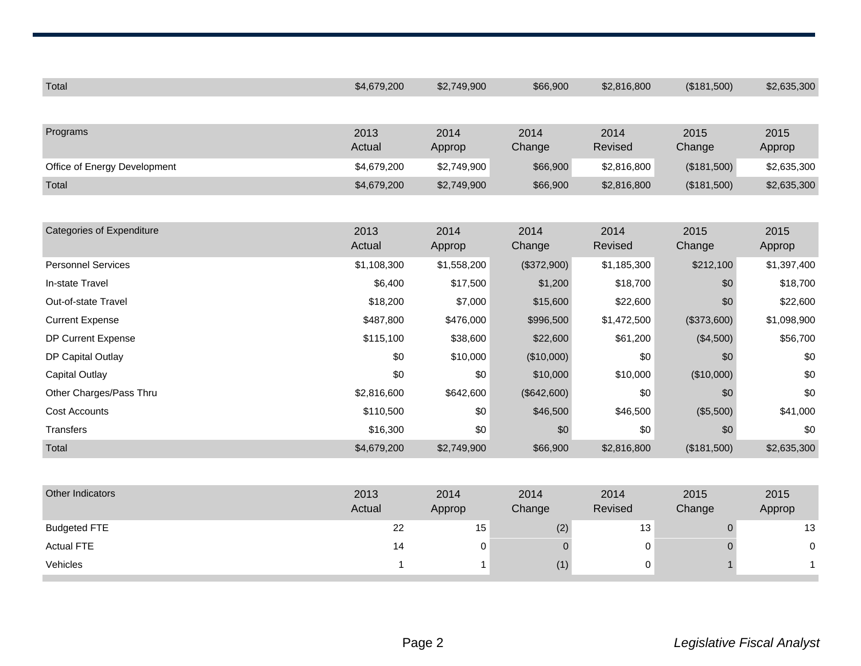| Total                            | \$4,679,200 | \$2,749,900 | \$66,900    | \$2,816,800 | (\$181,500) | \$2,635,300 |
|----------------------------------|-------------|-------------|-------------|-------------|-------------|-------------|
|                                  |             |             |             |             |             |             |
| Programs                         | 2013        | 2014        | 2014        | 2014        | 2015        | 2015        |
|                                  | Actual      | Approp      | Change      | Revised     | Change      | Approp      |
| Office of Energy Development     | \$4,679,200 | \$2,749,900 | \$66,900    | \$2,816,800 | (\$181,500) | \$2,635,300 |
| Total                            | \$4,679,200 | \$2,749,900 | \$66,900    | \$2,816,800 | (\$181,500) | \$2,635,300 |
|                                  |             |             |             |             |             |             |
| <b>Categories of Expenditure</b> | 2013        | 2014        | 2014        | 2014        | 2015        | 2015        |
|                                  | Actual      | Approp      | Change      | Revised     | Change      | Approp      |
| <b>Personnel Services</b>        | \$1,108,300 | \$1,558,200 | (\$372,900) | \$1,185,300 | \$212,100   | \$1,397,400 |
| In-state Travel                  | \$6,400     | \$17,500    | \$1,200     | \$18,700    | \$0         | \$18,700    |
| Out-of-state Travel              | \$18,200    | \$7,000     | \$15,600    | \$22,600    | \$0         | \$22,600    |
| <b>Current Expense</b>           | \$487,800   | \$476,000   | \$996,500   | \$1,472,500 | (\$373,600) | \$1,098,900 |
| DP Current Expense               | \$115,100   | \$38,600    | \$22,600    | \$61,200    | (\$4,500)   | \$56,700    |
| DP Capital Outlay                | \$0         | \$10,000    | (\$10,000)  | \$0         | \$0         | \$0         |
| <b>Capital Outlay</b>            | \$0         | \$0         | \$10,000    | \$10,000    | (\$10,000)  | \$0         |
| Other Charges/Pass Thru          | \$2,816,600 | \$642,600   | (\$642,600) | \$0         | \$0         | \$0         |
| <b>Cost Accounts</b>             | \$110,500   | \$0         | \$46,500    | \$46,500    | (\$5,500)   | \$41,000    |
| Transfers                        | \$16,300    | \$0         | \$0         | \$0         | \$0         | \$0         |
| Total                            | \$4,679,200 | \$2,749,900 | \$66,900    | \$2,816,800 | (\$181,500) | \$2,635,300 |
|                                  |             |             |             |             |             |             |
| Other Indicators                 | 2013        | 2014        | 2014        | 2014        | 2015        | 2015        |
|                                  | Actual      | Approp      | Change      | Revised     | Change      | Approp      |
| <b>Budgeted FTE</b>              | 22          | 15          | (2)         | 13          | $\mathbf 0$ | 13          |
| <b>Actual FTE</b>                | 14          | 0           | $\mathbf 0$ | $\,0\,$     | $\Omega$    | $\pmb{0}$   |
| Vehicles                         | 1           | 1           | (1)         | 0           |             | 1           |